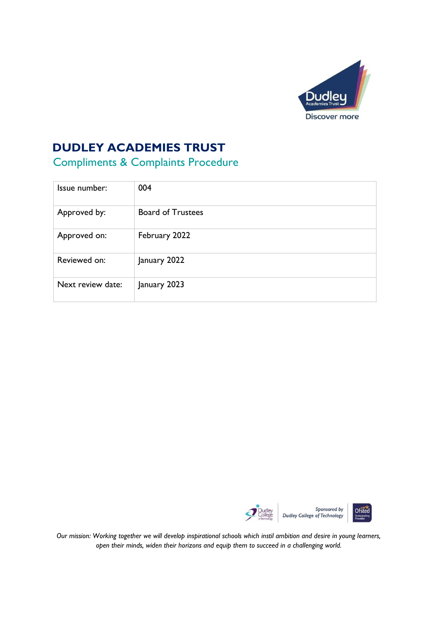

# **DUDLEY ACADEMIES TRUST**

# Compliments & Complaints Procedure

| Issue number:     | 004                      |  |
|-------------------|--------------------------|--|
| Approved by:      | <b>Board of Trustees</b> |  |
| Approved on:      | February 2022            |  |
| Reviewed on:      | January 2022             |  |
| Next review date: | January 2023             |  |





*Our mission: Working together we will develop inspirational schools which instil ambition and desire in young learners, open their minds, widen their horizons and equip them to succeed in a challenging world.*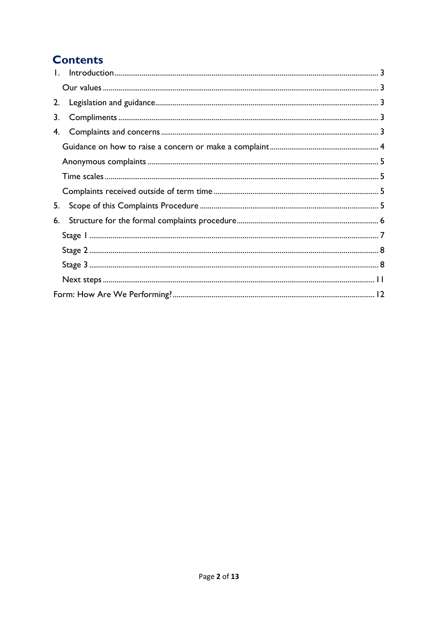## **Contents**

| 2. |  |
|----|--|
| 3. |  |
| 4. |  |
|    |  |
|    |  |
|    |  |
|    |  |
| 5. |  |
| 6. |  |
|    |  |
|    |  |
|    |  |
|    |  |
|    |  |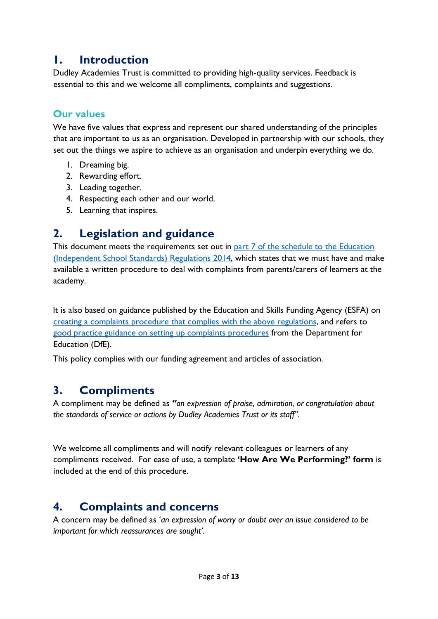### <span id="page-2-0"></span>**1. Introduction**

Dudley Academies Trust is committed to providing high-quality services. Feedback is essential to this and we welcome all compliments, complaints and suggestions.

#### <span id="page-2-1"></span>**Our values**

We have five values that express and represent our shared understanding of the principles that are important to us as an organisation. Developed in partnership with our schools, they set out the things we aspire to achieve as an organisation and underpin everything we do.

- 1. Dreaming big.
- 2. Rewarding effort.
- 3. Leading together.
- 4. Respecting each other and our world.
- 5. Learning that inspires.

## <span id="page-2-2"></span>**2. Legislation and guidance**

This document meets the requirements set out in [part 7 of the schedule to the](http://www.legislation.gov.uk/uksi/2014/3283/schedule/made) Education [\(Independent School Standards\) Regulations 2014,](http://www.legislation.gov.uk/uksi/2014/3283/schedule/made) which states that we must have and make available a written procedure to deal with complaints from parents/carers of learners at the academy.

It is also based on guidance published by the Education and Skills Funding Agency (ESFA) on [creating a complaints procedure that complies with the above regulations,](https://www.gov.uk/government/publications/setting-up-an-academies-complaints-procedure) and refers to [good practice guidance on setting up complaints procedures](https://www.gov.uk/government/publications/school-complaints-procedures) from the Department for Education (DfE).

This policy complies with our funding agreement and articles of association.

## <span id="page-2-3"></span>**3. Compliments**

A compliment may be defined as *"an expression of praise, admiration, or congratulation about the standards of service or actions by Dudley Academies Trust or its staff".* 

We welcome all compliments and will notify relevant colleagues or learners of any compliments received. For ease of use, a template **'How Are We Performing?' form** is included at the end of this procedure.

## <span id="page-2-4"></span>**4. Complaints and concerns**

A concern may be defined as '*an expression of worry or doubt over an issue considered to be important for which reassurances are sought'*.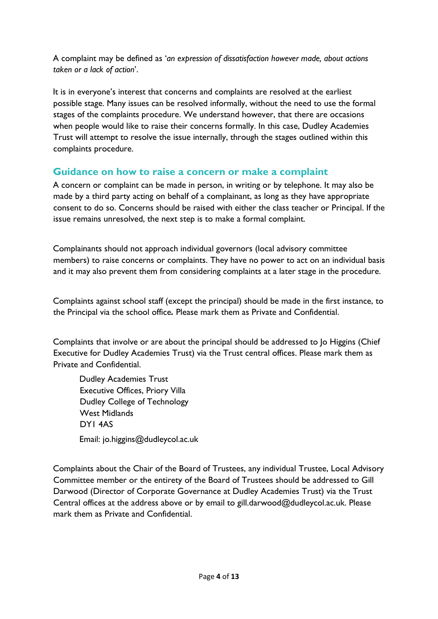A complaint may be defined as '*an expression of dissatisfaction however made, about actions taken or a lack of action*'.

It is in everyone's interest that concerns and complaints are resolved at the earliest possible stage. Many issues can be resolved informally, without the need to use the formal stages of the complaints procedure. We understand however, that there are occasions when people would like to raise their concerns formally. In this case, Dudley Academies Trust will attempt to resolve the issue internally, through the stages outlined within this complaints procedure.

#### <span id="page-3-0"></span>**Guidance on how to raise a concern or make a complaint**

A concern or complaint can be made in person, in writing or by telephone. It may also be made by a third party acting on behalf of a complainant, as long as they have appropriate consent to do so. Concerns should be raised with either the class teacher or Principal. If the issue remains unresolved, the next step is to make a formal complaint.

Complainants should not approach individual governors (local advisory committee members) to raise concerns or complaints. They have no power to act on an individual basis and it may also prevent them from considering complaints at a later stage in the procedure.

Complaints against school staff (except the principal) should be made in the first instance, to the Principal via the school office*.* Please mark them as Private and Confidential.

Complaints that involve or are about the principal should be addressed to Jo Higgins (Chief Executive for Dudley Academies Trust) via the Trust central offices. Please mark them as Private and Confidential.

Dudley Academies Trust Executive Offices, Priory Villa Dudley College of Technology West Midlands DY1 4AS Email: jo.higgins@dudleycol.ac.uk

Complaints about the Chair of the Board of Trustees, any individual Trustee, Local Advisory Committee member or the entirety of the Board of Trustees should be addressed to Gill Darwood (Director of Corporate Governance at Dudley Academies Trust) via the Trust Central offices at the address above or by email to gill.darwood@dudleycol.ac.uk. Please mark them as Private and Confidential.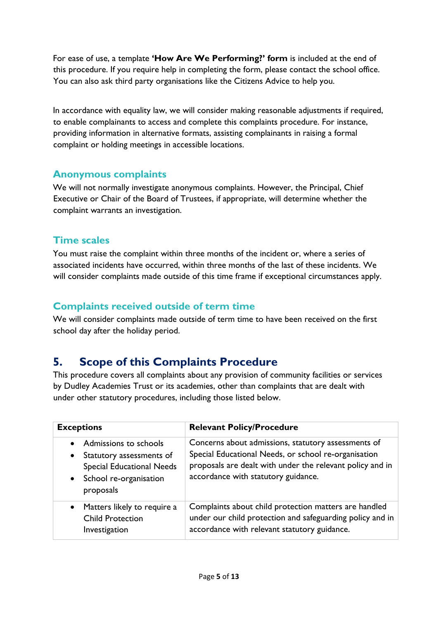For ease of use, a template **'How Are We Performing?' form** is included at the end of this procedure. If you require help in completing the form, please contact the school office. You can also ask third party organisations like the Citizens Advice to help you.

In accordance with equality law, we will consider making reasonable adjustments if required, to enable complainants to access and complete this complaints procedure. For instance, providing information in alternative formats, assisting complainants in raising a formal complaint or holding meetings in accessible locations.

#### <span id="page-4-0"></span>**Anonymous complaints**

We will not normally investigate anonymous complaints. However, the Principal, Chief Executive or Chair of the Board of Trustees, if appropriate, will determine whether the complaint warrants an investigation.

#### <span id="page-4-1"></span>**Time scales**

You must raise the complaint within three months of the incident or, where a series of associated incidents have occurred, within three months of the last of these incidents. We will consider complaints made outside of this time frame if exceptional circumstances apply.

### <span id="page-4-2"></span>**Complaints received outside of term time**

We will consider complaints made outside of term time to have been received on the first school day after the holiday period.

## <span id="page-4-3"></span>**5. Scope of this Complaints Procedure**

This procedure covers all complaints about any provision of community facilities or services by Dudley Academies Trust or its academies, other than complaints that are dealt with under other statutory procedures, including those listed below.

| <b>Exceptions</b>                                                                                                                                      | <b>Relevant Policy/Procedure</b>                                                                                                                                                                                |
|--------------------------------------------------------------------------------------------------------------------------------------------------------|-----------------------------------------------------------------------------------------------------------------------------------------------------------------------------------------------------------------|
| Admissions to schools<br>Statutory assessments of<br>$\bullet$<br><b>Special Educational Needs</b><br>School re-organisation<br>$\bullet$<br>proposals | Concerns about admissions, statutory assessments of<br>Special Educational Needs, or school re-organisation<br>proposals are dealt with under the relevant policy and in<br>accordance with statutory guidance. |
| Matters likely to require a<br><b>Child Protection</b><br>Investigation                                                                                | Complaints about child protection matters are handled<br>under our child protection and safeguarding policy and in<br>accordance with relevant statutory guidance.                                              |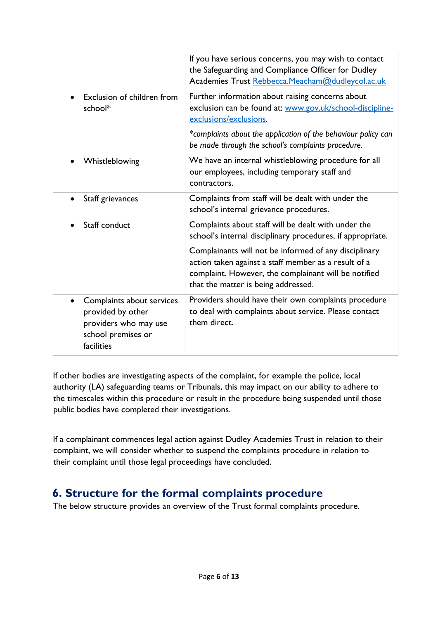|                                                                                                             | If you have serious concerns, you may wish to contact<br>the Safeguarding and Compliance Officer for Dudley<br>Academies Trust Rebbecca.Meacham@dudleycol.ac.uk                                                                                                                                                                   |
|-------------------------------------------------------------------------------------------------------------|-----------------------------------------------------------------------------------------------------------------------------------------------------------------------------------------------------------------------------------------------------------------------------------------------------------------------------------|
| Exclusion of children from<br>school*                                                                       | Further information about raising concerns about<br>exclusion can be found at: www.gov.uk/school-discipline-<br>exclusions/exclusions.                                                                                                                                                                                            |
|                                                                                                             | *complaints about the application of the behaviour policy can<br>be made through the school's complaints procedure.                                                                                                                                                                                                               |
| Whistleblowing                                                                                              | We have an internal whistleblowing procedure for all<br>our employees, including temporary staff and<br>contractors.                                                                                                                                                                                                              |
| Staff grievances                                                                                            | Complaints from staff will be dealt with under the<br>school's internal grievance procedures.                                                                                                                                                                                                                                     |
| Staff conduct                                                                                               | Complaints about staff will be dealt with under the<br>school's internal disciplinary procedures, if appropriate.<br>Complainants will not be informed of any disciplinary<br>action taken against a staff member as a result of a<br>complaint. However, the complainant will be notified<br>that the matter is being addressed. |
| Complaints about services<br>provided by other<br>providers who may use<br>school premises or<br>facilities | Providers should have their own complaints procedure<br>to deal with complaints about service. Please contact<br>them direct.                                                                                                                                                                                                     |

If other bodies are investigating aspects of the complaint, for example the police, local authority (LA) safeguarding teams or Tribunals, this may impact on our ability to adhere to the timescales within this procedure or result in the procedure being suspended until those public bodies have completed their investigations.

If a complainant commences legal action against Dudley Academies Trust in relation to their complaint, we will consider whether to suspend the complaints procedure in relation to their complaint until those legal proceedings have concluded.

## <span id="page-5-0"></span>**6. Structure for the formal complaints procedure**

The below structure provides an overview of the Trust formal complaints procedure.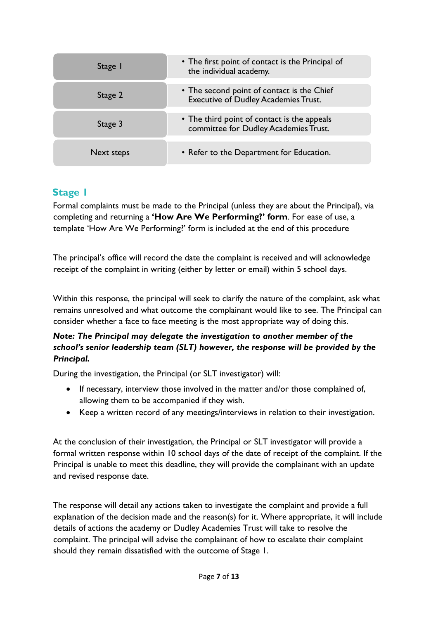| Stage I    | • The first point of contact is the Principal of<br>the individual academy.               |
|------------|-------------------------------------------------------------------------------------------|
| Stage 2    | • The second point of contact is the Chief<br><b>Executive of Dudley Academies Trust.</b> |
| Stage 3    | • The third point of contact is the appeals<br>committee for Dudley Academies Trust.      |
| Next steps | • Refer to the Department for Education.                                                  |

#### <span id="page-6-0"></span>**Stage 1**

Formal complaints must be made to the Principal (unless they are about the Principal), via completing and returning a **'How Are We Performing?' form**. For ease of use, a template 'How Are We Performing?' form is included at the end of this procedure

The principal's office will record the date the complaint is received and will acknowledge receipt of the complaint in writing (either by letter or email) within 5 school days.

Within this response, the principal will seek to clarify the nature of the complaint, ask what remains unresolved and what outcome the complainant would like to see. The Principal can consider whether a face to face meeting is the most appropriate way of doing this.

#### *Note: The Principal may delegate the investigation to another member of the school's senior leadership team (SLT) however, the response will be provided by the Principal.*

During the investigation, the Principal (or SLT investigator) will:

- If necessary, interview those involved in the matter and/or those complained of, allowing them to be accompanied if they wish.
- Keep a written record of any meetings/interviews in relation to their investigation.

At the conclusion of their investigation, the Principal or SLT investigator will provide a formal written response within 10 school days of the date of receipt of the complaint. If the Principal is unable to meet this deadline, they will provide the complainant with an update and revised response date.

The response will detail any actions taken to investigate the complaint and provide a full explanation of the decision made and the reason(s) for it. Where appropriate, it will include details of actions the academy or Dudley Academies Trust will take to resolve the complaint. The principal will advise the complainant of how to escalate their complaint should they remain dissatisfied with the outcome of Stage 1.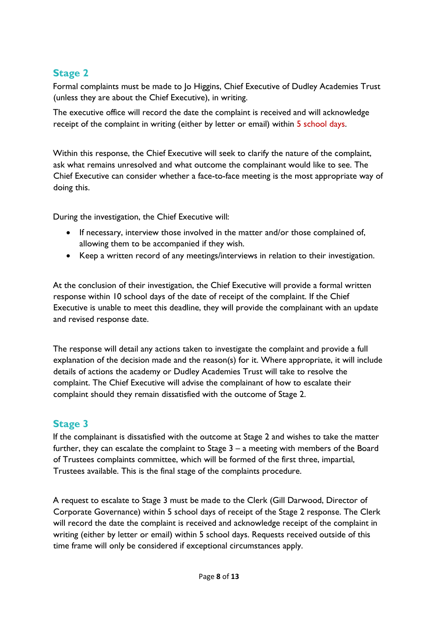#### <span id="page-7-0"></span>**Stage 2**

Formal complaints must be made to Jo Higgins, Chief Executive of Dudley Academies Trust (unless they are about the Chief Executive), in writing.

The executive office will record the date the complaint is received and will acknowledge receipt of the complaint in writing (either by letter or email) within 5 school days.

Within this response, the Chief Executive will seek to clarify the nature of the complaint, ask what remains unresolved and what outcome the complainant would like to see. The Chief Executive can consider whether a face-to-face meeting is the most appropriate way of doing this.

During the investigation, the Chief Executive will:

- If necessary, interview those involved in the matter and/or those complained of, allowing them to be accompanied if they wish.
- Keep a written record of any meetings/interviews in relation to their investigation.

At the conclusion of their investigation, the Chief Executive will provide a formal written response within 10 school days of the date of receipt of the complaint. If the Chief Executive is unable to meet this deadline, they will provide the complainant with an update and revised response date.

The response will detail any actions taken to investigate the complaint and provide a full explanation of the decision made and the reason(s) for it. Where appropriate, it will include details of actions the academy or Dudley Academies Trust will take to resolve the complaint. The Chief Executive will advise the complainant of how to escalate their complaint should they remain dissatisfied with the outcome of Stage 2.

#### <span id="page-7-1"></span>**Stage 3**

If the complainant is dissatisfied with the outcome at Stage 2 and wishes to take the matter further, they can escalate the complaint to Stage 3 – a meeting with members of the Board of Trustees complaints committee, which will be formed of the first three, impartial, Trustees available. This is the final stage of the complaints procedure.

A request to escalate to Stage 3 must be made to the Clerk (Gill Darwood, Director of Corporate Governance) within 5 school days of receipt of the Stage 2 response. The Clerk will record the date the complaint is received and acknowledge receipt of the complaint in writing (either by letter or email) within 5 school days. Requests received outside of this time frame will only be considered if exceptional circumstances apply.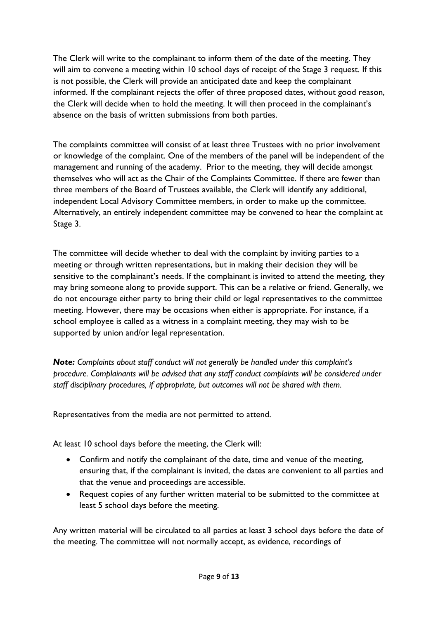The Clerk will write to the complainant to inform them of the date of the meeting. They will aim to convene a meeting within 10 school days of receipt of the Stage 3 request. If this is not possible, the Clerk will provide an anticipated date and keep the complainant informed. If the complainant rejects the offer of three proposed dates, without good reason, the Clerk will decide when to hold the meeting. It will then proceed in the complainant's absence on the basis of written submissions from both parties.

The complaints committee will consist of at least three Trustees with no prior involvement or knowledge of the complaint. One of the members of the panel will be independent of the management and running of the academy. Prior to the meeting, they will decide amongst themselves who will act as the Chair of the Complaints Committee. If there are fewer than three members of the Board of Trustees available, the Clerk will identify any additional, independent Local Advisory Committee members, in order to make up the committee. Alternatively, an entirely independent committee may be convened to hear the complaint at Stage 3.

The committee will decide whether to deal with the complaint by inviting parties to a meeting or through written representations, but in making their decision they will be sensitive to the complainant's needs. If the complainant is invited to attend the meeting, they may bring someone along to provide support. This can be a relative or friend. Generally, we do not encourage either party to bring their child or legal representatives to the committee meeting. However, there may be occasions when either is appropriate. For instance, if a school employee is called as a witness in a complaint meeting, they may wish to be supported by union and/or legal representation.

*Note: Complaints about staff conduct will not generally be handled under this complaint's procedure. Complainants will be advised that any staff conduct complaints will be considered under staff disciplinary procedures, if appropriate, but outcomes will not be shared with them.* 

Representatives from the media are not permitted to attend.

At least 10 school days before the meeting, the Clerk will:

- Confirm and notify the complainant of the date, time and venue of the meeting, ensuring that, if the complainant is invited, the dates are convenient to all parties and that the venue and proceedings are accessible.
- Request copies of any further written material to be submitted to the committee at least 5 school days before the meeting.

Any written material will be circulated to all parties at least 3 school days before the date of the meeting. The committee will not normally accept, as evidence, recordings of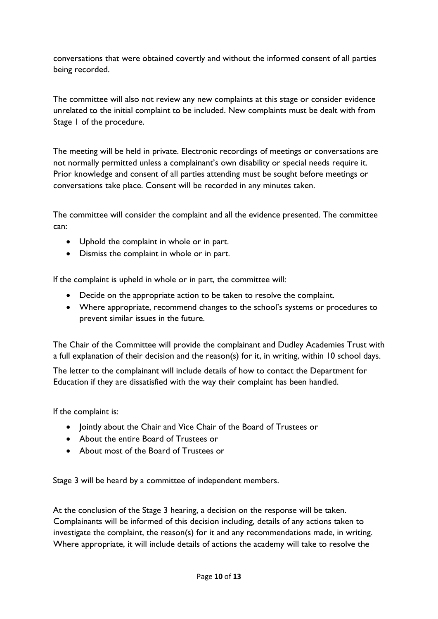conversations that were obtained covertly and without the informed consent of all parties being recorded.

The committee will also not review any new complaints at this stage or consider evidence unrelated to the initial complaint to be included. New complaints must be dealt with from Stage 1 of the procedure.

The meeting will be held in private. Electronic recordings of meetings or conversations are not normally permitted unless a complainant's own disability or special needs require it. Prior knowledge and consent of all parties attending must be sought before meetings or conversations take place. Consent will be recorded in any minutes taken.

The committee will consider the complaint and all the evidence presented. The committee can:

- Uphold the complaint in whole or in part.
- Dismiss the complaint in whole or in part.

If the complaint is upheld in whole or in part, the committee will:

- Decide on the appropriate action to be taken to resolve the complaint.
- Where appropriate, recommend changes to the school's systems or procedures to prevent similar issues in the future.

The Chair of the Committee will provide the complainant and Dudley Academies Trust with a full explanation of their decision and the reason(s) for it, in writing, within 10 school days.

The letter to the complainant will include details of how to contact the Department for Education if they are dissatisfied with the way their complaint has been handled.

If the complaint is:

- Jointly about the Chair and Vice Chair of the Board of Trustees or
- About the entire Board of Trustees or
- About most of the Board of Trustees or

Stage 3 will be heard by a committee of independent members.

At the conclusion of the Stage 3 hearing, a decision on the response will be taken. Complainants will be informed of this decision including, details of any actions taken to investigate the complaint, the reason(s) for it and any recommendations made, in writing. Where appropriate, it will include details of actions the academy will take to resolve the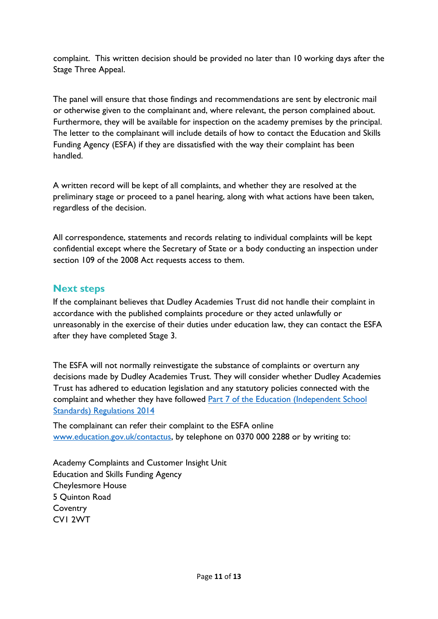complaint. This written decision should be provided no later than 10 working days after the Stage Three Appeal.

The panel will ensure that those findings and recommendations are sent by electronic mail or otherwise given to the complainant and, where relevant, the person complained about. Furthermore, they will be available for inspection on the academy premises by the principal. The letter to the complainant will include details of how to contact the Education and Skills Funding Agency (ESFA) if they are dissatisfied with the way their complaint has been handled.

A written record will be kept of all complaints, and whether they are resolved at the preliminary stage or proceed to a panel hearing, along with what actions have been taken, regardless of the decision.

All correspondence, statements and records relating to individual complaints will be kept confidential except where the Secretary of State or a body conducting an inspection under section 109 of the 2008 Act requests access to them.

#### <span id="page-10-0"></span>**Next steps**

If the complainant believes that Dudley Academies Trust did not handle their complaint in accordance with the published complaints procedure or they acted unlawfully or unreasonably in the exercise of their duties under education law, they can contact the ESFA after they have completed Stage 3.

The ESFA will not normally reinvestigate the substance of complaints or overturn any decisions made by Dudley Academies Trust. They will consider whether Dudley Academies Trust has adhered to education legislation and any statutory policies connected with the complaint and whether they have followed Part 7 of the Education (Independent School [Standards\) Regulations 2014](https://www.legislation.gov.uk/uksi/2014/3283/schedule/made)

The complainant can refer their complaint to the ESFA online [www.education.gov.uk/contactus,](http://www.education.gov.uk/contactus) by telephone on 0370 000 2288 or by writing to:

Academy Complaints and Customer Insight Unit Education and Skills Funding Agency Cheylesmore House 5 Quinton Road **Coventry** CV1 2WT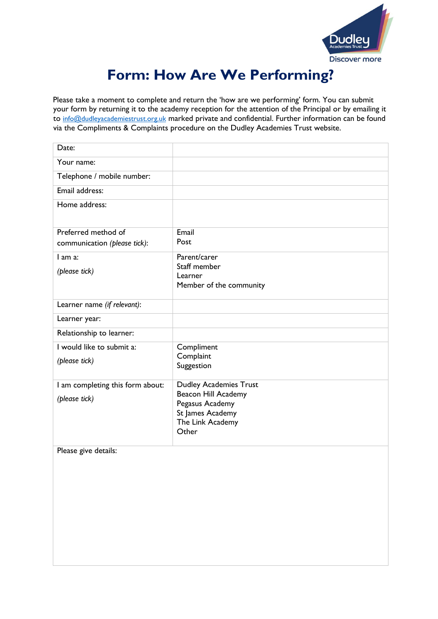

# **Form: How Are We Performing?**

<span id="page-11-0"></span>Please take a moment to complete and return the 'how are we performing' form. You can submit your form by returning it to the academy reception for the attention of the Principal or by emailing it to [info@dudleyacademiestrust.org.uk](mailto:info@dudleyacademiestrust.org.uk) marked private and confidential. Further information can be found via the Compliments & Complaints procedure on the Dudley Academies Trust website.

| Date:                            |                                                      |
|----------------------------------|------------------------------------------------------|
| Your name:                       |                                                      |
| Telephone / mobile number:       |                                                      |
| Email address:                   |                                                      |
| Home address:                    |                                                      |
|                                  |                                                      |
| Preferred method of              | Email                                                |
| communication (please tick):     | Post                                                 |
| l am a:                          | Parent/carer<br>Staff member                         |
| (please tick)                    | Learner                                              |
|                                  | Member of the community                              |
| Learner name (if relevant):      |                                                      |
| Learner year:                    |                                                      |
| Relationship to learner:         |                                                      |
| I would like to submit a:        | Compliment                                           |
| (please tick)                    | Complaint<br>Suggestion                              |
|                                  |                                                      |
| I am completing this form about: | <b>Dudley Academies Trust</b><br>Beacon Hill Academy |
| (please tick)                    | Pegasus Academy                                      |
|                                  | St James Academy                                     |
|                                  | The Link Academy<br>Other                            |
|                                  |                                                      |
| Please give details:             |                                                      |
|                                  |                                                      |
|                                  |                                                      |
|                                  |                                                      |
|                                  |                                                      |
|                                  |                                                      |
|                                  |                                                      |
|                                  |                                                      |